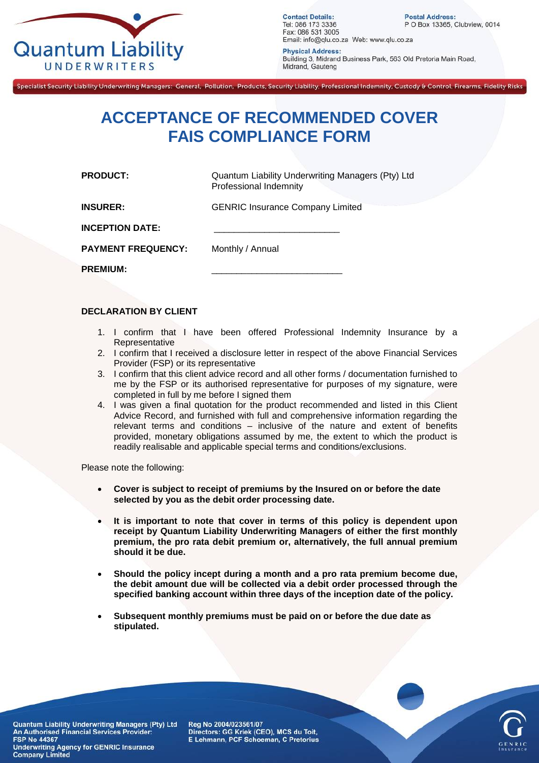

**Contact Details:** Tel: 086 173 3336 Fax: 086 531 3005 Email: info@qlu.co.za Web: www.qlu.co.za

**Postal Address:** P O Box 13365, Clubview, 0014

**Physical Address:** Building 3, Midrand Business Park, 563 Old Pretoria Main Road, Midrand, Gauteng

Specialist Security Liability Underwriting Managers: General, Pollution, Products, Security Liability, Professional Indemnity, Custody & Control, Firearms, Fidelity Risks

## **ACCEPTANCE OF RECOMMENDED COVER FAIS COMPLIANCE FORM**

**PRODUCT:** Quantum Liability Underwriting Managers (Pty) Ltd Professional Indemnity

**INSURER:** GENRIC Insurance Company Limited

**INCEPTION DATE:** 

**PAYMENT FREQUENCY:** Monthly / Annual

**PREMIUM:** 

## **DECLARATION BY CLIENT**

- 1. I confirm that I have been offered Professional Indemnity Insurance by a Representative
- 2. I confirm that I received a disclosure letter in respect of the above Financial Services Provider (FSP) or its representative
- 3. I confirm that this client advice record and all other forms / documentation furnished to me by the FSP or its authorised representative for purposes of my signature, were completed in full by me before I signed them
- 4. I was given a final quotation for the product recommended and listed in this Client Advice Record, and furnished with full and comprehensive information regarding the relevant terms and conditions – inclusive of the nature and extent of benefits provided, monetary obligations assumed by me, the extent to which the product is readily realisable and applicable special terms and conditions/exclusions.

Please note the following:

- **Cover is subject to receipt of premiums by the Insured on or before the date selected by you as the debit order processing date.**
- **It is important to note that cover in terms of this policy is dependent upon receipt by Quantum Liability Underwriting Managers of either the first monthly premium, the pro rata debit premium or, alternatively, the full annual premium should it be due.**
- **Should the policy incept during a month and a pro rata premium become due, the debit amount due will be collected via a debit order processed through the specified banking account within three days of the inception date of the policy.**
- **Subsequent monthly premiums must be paid on or before the due date as stipulated.**



Quantum Liability Underwriting Managers (Pty) Ltd An Authorised Financial Services Provider: **FSP No 44367 Underwriting Agency for GENRIC Insurance Company Limited** 

Reg No 2004/023561/07 Directors: GG Kriek (CEO), MCS du Toit, E Lehmann, PCF Schoeman, C Pretorius